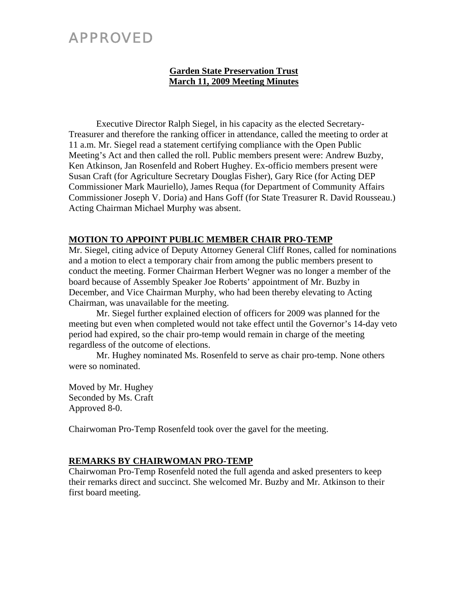# APPROVED

# **Garden State Preservation Trust March 11, 2009 Meeting Minutes**

Executive Director Ralph Siegel, in his capacity as the elected Secretary-Treasurer and therefore the ranking officer in attendance, called the meeting to order at 11 a.m. Mr. Siegel read a statement certifying compliance with the Open Public Meeting's Act and then called the roll. Public members present were: Andrew Buzby, Ken Atkinson, Jan Rosenfeld and Robert Hughey. Ex-officio members present were Susan Craft (for Agriculture Secretary Douglas Fisher), Gary Rice (for Acting DEP Commissioner Mark Mauriello), James Requa (for Department of Community Affairs Commissioner Joseph V. Doria) and Hans Goff (for State Treasurer R. David Rousseau.) Acting Chairman Michael Murphy was absent.

## **MOTION TO APPOINT PUBLIC MEMBER CHAIR PRO-TEMP**

Mr. Siegel, citing advice of Deputy Attorney General Cliff Rones, called for nominations and a motion to elect a temporary chair from among the public members present to conduct the meeting. Former Chairman Herbert Wegner was no longer a member of the board because of Assembly Speaker Joe Roberts' appointment of Mr. Buzby in December, and Vice Chairman Murphy, who had been thereby elevating to Acting Chairman, was unavailable for the meeting.

Mr. Siegel further explained election of officers for 2009 was planned for the meeting but even when completed would not take effect until the Governor's 14-day veto period had expired, so the chair pro-temp would remain in charge of the meeting regardless of the outcome of elections.

Mr. Hughey nominated Ms. Rosenfeld to serve as chair pro-temp. None others were so nominated.

Moved by Mr. Hughey Seconded by Ms. Craft Approved 8-0.

Chairwoman Pro-Temp Rosenfeld took over the gavel for the meeting.

## **REMARKS BY CHAIRWOMAN PRO-TEMP**

Chairwoman Pro-Temp Rosenfeld noted the full agenda and asked presenters to keep their remarks direct and succinct. She welcomed Mr. Buzby and Mr. Atkinson to their first board meeting.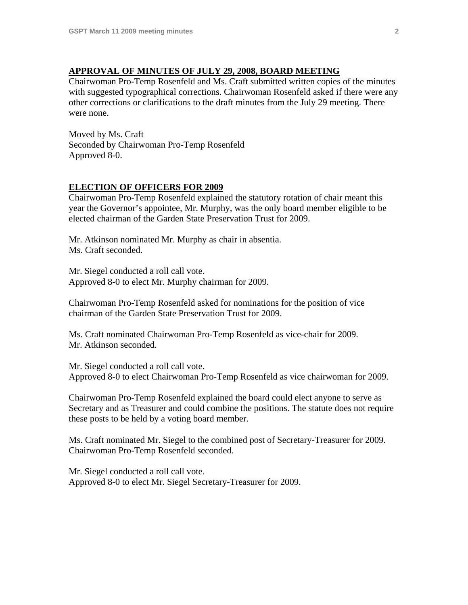### **APPROVAL OF MINUTES OF JULY 29, 2008, BOARD MEETING**

Chairwoman Pro-Temp Rosenfeld and Ms. Craft submitted written copies of the minutes with suggested typographical corrections. Chairwoman Rosenfeld asked if there were any other corrections or clarifications to the draft minutes from the July 29 meeting. There were none.

Moved by Ms. Craft Seconded by Chairwoman Pro-Temp Rosenfeld Approved 8-0.

#### **ELECTION OF OFFICERS FOR 2009**

Chairwoman Pro-Temp Rosenfeld explained the statutory rotation of chair meant this year the Governor's appointee, Mr. Murphy, was the only board member eligible to be elected chairman of the Garden State Preservation Trust for 2009.

Mr. Atkinson nominated Mr. Murphy as chair in absentia. Ms. Craft seconded.

Mr. Siegel conducted a roll call vote. Approved 8-0 to elect Mr. Murphy chairman for 2009.

Chairwoman Pro-Temp Rosenfeld asked for nominations for the position of vice chairman of the Garden State Preservation Trust for 2009.

Ms. Craft nominated Chairwoman Pro-Temp Rosenfeld as vice-chair for 2009. Mr. Atkinson seconded.

Mr. Siegel conducted a roll call vote. Approved 8-0 to elect Chairwoman Pro-Temp Rosenfeld as vice chairwoman for 2009.

Chairwoman Pro-Temp Rosenfeld explained the board could elect anyone to serve as Secretary and as Treasurer and could combine the positions. The statute does not require these posts to be held by a voting board member.

Ms. Craft nominated Mr. Siegel to the combined post of Secretary-Treasurer for 2009. Chairwoman Pro-Temp Rosenfeld seconded.

Mr. Siegel conducted a roll call vote. Approved 8-0 to elect Mr. Siegel Secretary-Treasurer for 2009.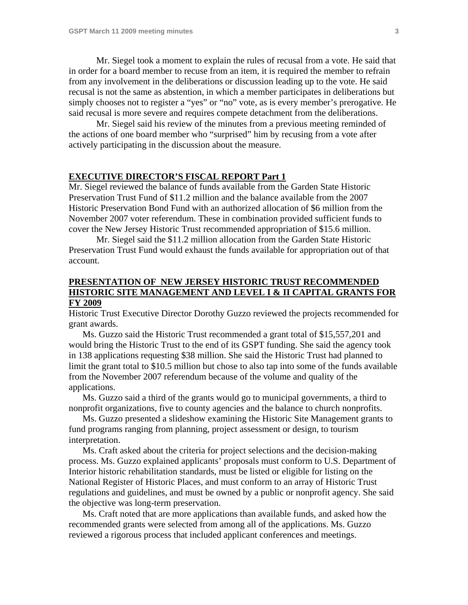Mr. Siegel took a moment to explain the rules of recusal from a vote. He said that in order for a board member to recuse from an item, it is required the member to refrain from any involvement in the deliberations or discussion leading up to the vote. He said recusal is not the same as abstention, in which a member participates in deliberations but simply chooses not to register a "yes" or "no" vote, as is every member's prerogative. He said recusal is more severe and requires compete detachment from the deliberations.

 Mr. Siegel said his review of the minutes from a previous meeting reminded of the actions of one board member who "surprised" him by recusing from a vote after actively participating in the discussion about the measure.

#### **EXECUTIVE DIRECTOR'S FISCAL REPORT Part 1**

Mr. Siegel reviewed the balance of funds available from the Garden State Historic Preservation Trust Fund of \$11.2 million and the balance available from the 2007 Historic Preservation Bond Fund with an authorized allocation of \$6 million from the November 2007 voter referendum. These in combination provided sufficient funds to cover the New Jersey Historic Trust recommended appropriation of \$15.6 million.

 Mr. Siegel said the \$11.2 million allocation from the Garden State Historic Preservation Trust Fund would exhaust the funds available for appropriation out of that account.

## **PRESENTATION OF NEW JERSEY HISTORIC TRUST RECOMMENDED HISTORIC SITE MANAGEMENT AND LEVEL I & II CAPITAL GRANTS FOR FY 2009**

Historic Trust Executive Director Dorothy Guzzo reviewed the projects recommended for grant awards.

 Ms. Guzzo said the Historic Trust recommended a grant total of \$15,557,201 and would bring the Historic Trust to the end of its GSPT funding. She said the agency took in 138 applications requesting \$38 million. She said the Historic Trust had planned to limit the grant total to \$10.5 million but chose to also tap into some of the funds available from the November 2007 referendum because of the volume and quality of the applications.

 Ms. Guzzo said a third of the grants would go to municipal governments, a third to nonprofit organizations, five to county agencies and the balance to church nonprofits.

Ms. Guzzo presented a slideshow examining the Historic Site Management grants to fund programs ranging from planning, project assessment or design, to tourism interpretation.

 Ms. Craft asked about the criteria for project selections and the decision-making process. Ms. Guzzo explained applicants' proposals must conform to U.S. Department of Interior historic rehabilitation standards, must be listed or eligible for listing on the National Register of Historic Places, and must conform to an array of Historic Trust regulations and guidelines, and must be owned by a public or nonprofit agency. She said the objective was long-term preservation.

 Ms. Craft noted that are more applications than available funds, and asked how the recommended grants were selected from among all of the applications. Ms. Guzzo reviewed a rigorous process that included applicant conferences and meetings.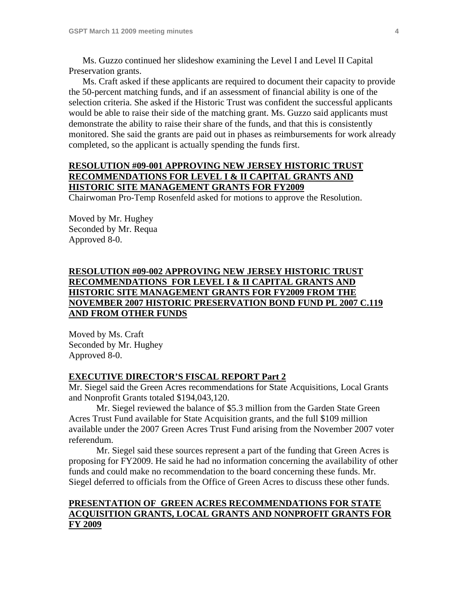Ms. Guzzo continued her slideshow examining the Level I and Level II Capital Preservation grants.

 Ms. Craft asked if these applicants are required to document their capacity to provide the 50-percent matching funds, and if an assessment of financial ability is one of the selection criteria. She asked if the Historic Trust was confident the successful applicants would be able to raise their side of the matching grant. Ms. Guzzo said applicants must demonstrate the ability to raise their share of the funds, and that this is consistently monitored. She said the grants are paid out in phases as reimbursements for work already completed, so the applicant is actually spending the funds first.

## **RESOLUTION #09-001 APPROVING NEW JERSEY HISTORIC TRUST RECOMMENDATIONS FOR LEVEL I & II CAPITAL GRANTS AND HISTORIC SITE MANAGEMENT GRANTS FOR FY2009**

Chairwoman Pro-Temp Rosenfeld asked for motions to approve the Resolution.

Moved by Mr. Hughey Seconded by Mr. Requa Approved 8-0.

## **RESOLUTION #09-002 APPROVING NEW JERSEY HISTORIC TRUST RECOMMENDATIONS FOR LEVEL I & II CAPITAL GRANTS AND HISTORIC SITE MANAGEMENT GRANTS FOR FY2009 FROM THE NOVEMBER 2007 HISTORIC PRESERVATION BOND FUND PL 2007 C.119 AND FROM OTHER FUNDS**

Moved by Ms. Craft Seconded by Mr. Hughey Approved 8-0.

#### **EXECUTIVE DIRECTOR'S FISCAL REPORT Part 2**

Mr. Siegel said the Green Acres recommendations for State Acquisitions, Local Grants and Nonprofit Grants totaled \$194,043,120.

 Mr. Siegel reviewed the balance of \$5.3 million from the Garden State Green Acres Trust Fund available for State Acquisition grants, and the full \$109 million available under the 2007 Green Acres Trust Fund arising from the November 2007 voter referendum.

 Mr. Siegel said these sources represent a part of the funding that Green Acres is proposing for FY2009. He said he had no information concerning the availability of other funds and could make no recommendation to the board concerning these funds. Mr. Siegel deferred to officials from the Office of Green Acres to discuss these other funds.

#### **PRESENTATION OF GREEN ACRES RECOMMENDATIONS FOR STATE ACQUISITION GRANTS, LOCAL GRANTS AND NONPROFIT GRANTS FOR FY 2009**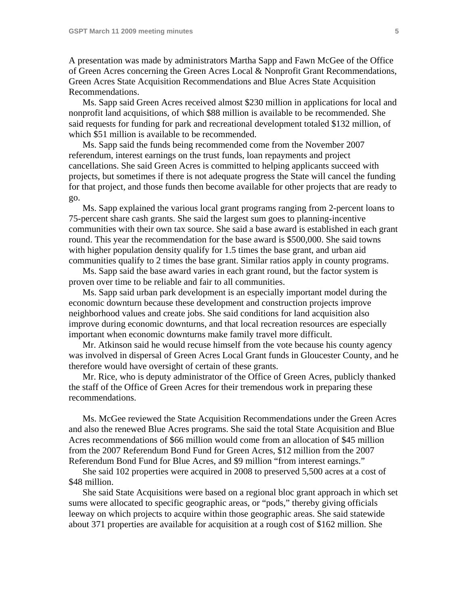A presentation was made by administrators Martha Sapp and Fawn McGee of the Office of Green Acres concerning the Green Acres Local & Nonprofit Grant Recommendations, Green Acres State Acquisition Recommendations and Blue Acres State Acquisition Recommendations.

 Ms. Sapp said Green Acres received almost \$230 million in applications for local and nonprofit land acquisitions, of which \$88 million is available to be recommended. She said requests for funding for park and recreational development totaled \$132 million, of which \$51 million is available to be recommended.

 Ms. Sapp said the funds being recommended come from the November 2007 referendum, interest earnings on the trust funds, loan repayments and project cancellations. She said Green Acres is committed to helping applicants succeed with projects, but sometimes if there is not adequate progress the State will cancel the funding for that project, and those funds then become available for other projects that are ready to go.

 Ms. Sapp explained the various local grant programs ranging from 2-percent loans to 75-percent share cash grants. She said the largest sum goes to planning-incentive communities with their own tax source. She said a base award is established in each grant round. This year the recommendation for the base award is \$500,000. She said towns with higher population density qualify for 1.5 times the base grant, and urban aid communities qualify to 2 times the base grant. Similar ratios apply in county programs.

 Ms. Sapp said the base award varies in each grant round, but the factor system is proven over time to be reliable and fair to all communities.

 Ms. Sapp said urban park development is an especially important model during the economic downturn because these development and construction projects improve neighborhood values and create jobs. She said conditions for land acquisition also improve during economic downturns, and that local recreation resources are especially important when economic downturns make family travel more difficult.

 Mr. Atkinson said he would recuse himself from the vote because his county agency was involved in dispersal of Green Acres Local Grant funds in Gloucester County, and he therefore would have oversight of certain of these grants.

 Mr. Rice, who is deputy administrator of the Office of Green Acres, publicly thanked the staff of the Office of Green Acres for their tremendous work in preparing these recommendations.

 Ms. McGee reviewed the State Acquisition Recommendations under the Green Acres and also the renewed Blue Acres programs. She said the total State Acquisition and Blue Acres recommendations of \$66 million would come from an allocation of \$45 million from the 2007 Referendum Bond Fund for Green Acres, \$12 million from the 2007 Referendum Bond Fund for Blue Acres, and \$9 million "from interest earnings."

 She said 102 properties were acquired in 2008 to preserved 5,500 acres at a cost of \$48 million.

 She said State Acquisitions were based on a regional bloc grant approach in which set sums were allocated to specific geographic areas, or "pods," thereby giving officials leeway on which projects to acquire within those geographic areas. She said statewide about 371 properties are available for acquisition at a rough cost of \$162 million. She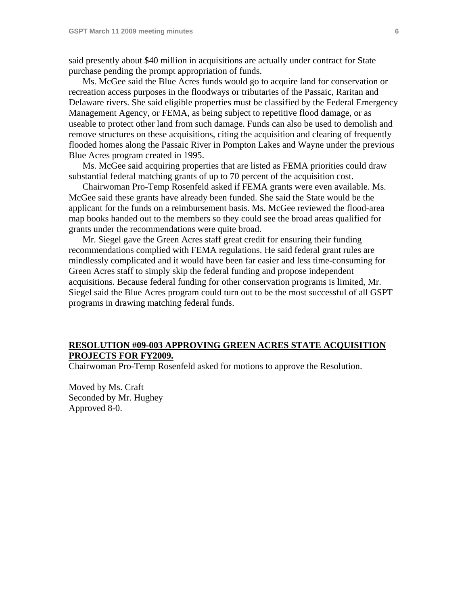said presently about \$40 million in acquisitions are actually under contract for State purchase pending the prompt appropriation of funds.

 Ms. McGee said the Blue Acres funds would go to acquire land for conservation or recreation access purposes in the floodways or tributaries of the Passaic, Raritan and Delaware rivers. She said eligible properties must be classified by the Federal Emergency Management Agency, or FEMA, as being subject to repetitive flood damage, or as useable to protect other land from such damage. Funds can also be used to demolish and remove structures on these acquisitions, citing the acquisition and clearing of frequently flooded homes along the Passaic River in Pompton Lakes and Wayne under the previous Blue Acres program created in 1995.

 Ms. McGee said acquiring properties that are listed as FEMA priorities could draw substantial federal matching grants of up to 70 percent of the acquisition cost.

 Chairwoman Pro-Temp Rosenfeld asked if FEMA grants were even available. Ms. McGee said these grants have already been funded. She said the State would be the applicant for the funds on a reimbursement basis. Ms. McGee reviewed the flood-area map books handed out to the members so they could see the broad areas qualified for grants under the recommendations were quite broad.

 Mr. Siegel gave the Green Acres staff great credit for ensuring their funding recommendations complied with FEMA regulations. He said federal grant rules are mindlessly complicated and it would have been far easier and less time-consuming for Green Acres staff to simply skip the federal funding and propose independent acquisitions. Because federal funding for other conservation programs is limited, Mr. Siegel said the Blue Acres program could turn out to be the most successful of all GSPT programs in drawing matching federal funds.

#### **RESOLUTION #09-003 APPROVING GREEN ACRES STATE ACQUISITION PROJECTS FOR FY2009.**

Chairwoman Pro-Temp Rosenfeld asked for motions to approve the Resolution.

Moved by Ms. Craft Seconded by Mr. Hughey Approved 8-0.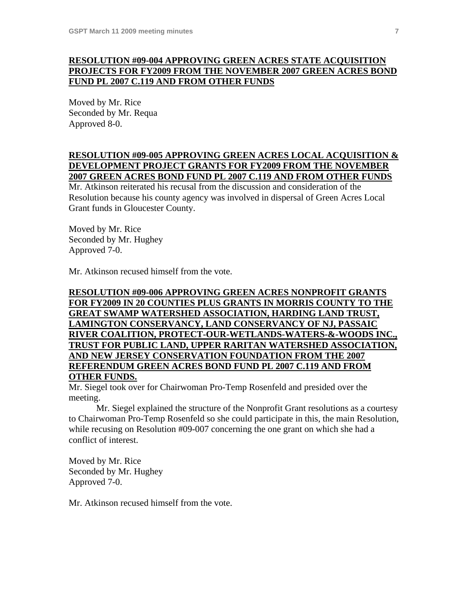# **RESOLUTION #09-004 APPROVING GREEN ACRES STATE ACQUISITION PROJECTS FOR FY2009 FROM THE NOVEMBER 2007 GREEN ACRES BOND FUND PL 2007 C.119 AND FROM OTHER FUNDS**

Moved by Mr. Rice Seconded by Mr. Requa Approved 8-0.

## **RESOLUTION #09-005 APPROVING GREEN ACRES LOCAL ACQUISITION & DEVELOPMENT PROJECT GRANTS FOR FY2009 FROM THE NOVEMBER 2007 GREEN ACRES BOND FUND PL 2007 C.119 AND FROM OTHER FUNDS**

Mr. Atkinson reiterated his recusal from the discussion and consideration of the Resolution because his county agency was involved in dispersal of Green Acres Local Grant funds in Gloucester County.

Moved by Mr. Rice Seconded by Mr. Hughey Approved 7-0.

Mr. Atkinson recused himself from the vote.

## **RESOLUTION #09-006 APPROVING GREEN ACRES NONPROFIT GRANTS FOR FY2009 IN 20 COUNTIES PLUS GRANTS IN MORRIS COUNTY TO THE GREAT SWAMP WATERSHED ASSOCIATION, HARDING LAND TRUST, LAMINGTON CONSERVANCY, LAND CONSERVANCY OF NJ, PASSAIC RIVER COALITION, PROTECT-OUR-WETLANDS-WATERS-&-WOODS INC., TRUST FOR PUBLIC LAND, UPPER RARITAN WATERSHED ASSOCIATION, AND NEW JERSEY CONSERVATION FOUNDATION FROM THE 2007 REFERENDUM GREEN ACRES BOND FUND PL 2007 C.119 AND FROM OTHER FUNDS.**

Mr. Siegel took over for Chairwoman Pro-Temp Rosenfeld and presided over the meeting.

Mr. Siegel explained the structure of the Nonprofit Grant resolutions as a courtesy to Chairwoman Pro-Temp Rosenfeld so she could participate in this, the main Resolution, while recusing on Resolution #09-007 concerning the one grant on which she had a conflict of interest.

Moved by Mr. Rice Seconded by Mr. Hughey Approved 7-0.

Mr. Atkinson recused himself from the vote.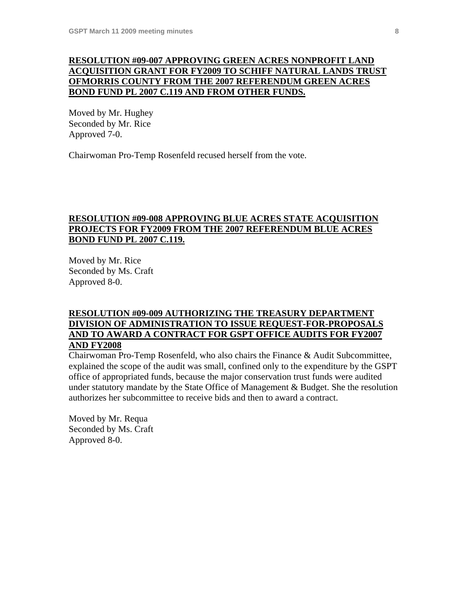## **RESOLUTION #09-007 APPROVING GREEN ACRES NONPROFIT LAND ACQUISITION GRANT FOR FY2009 TO SCHIFF NATURAL LANDS TRUST OFMORRIS COUNTY FROM THE 2007 REFERENDUM GREEN ACRES BOND FUND PL 2007 C.119 AND FROM OTHER FUNDS.**

Moved by Mr. Hughey Seconded by Mr. Rice Approved 7-0.

Chairwoman Pro-Temp Rosenfeld recused herself from the vote.

## **RESOLUTION #09-008 APPROVING BLUE ACRES STATE ACQUISITION PROJECTS FOR FY2009 FROM THE 2007 REFERENDUM BLUE ACRES BOND FUND PL 2007 C.119.**

Moved by Mr. Rice Seconded by Ms. Craft Approved 8-0.

## **RESOLUTION #09-009 AUTHORIZING THE TREASURY DEPARTMENT DIVISION OF ADMINISTRATION TO ISSUE REQUEST-FOR-PROPOSALS AND TO AWARD A CONTRACT FOR GSPT OFFICE AUDITS FOR FY2007 AND FY2008**

Chairwoman Pro-Temp Rosenfeld, who also chairs the Finance & Audit Subcommittee, explained the scope of the audit was small, confined only to the expenditure by the GSPT office of appropriated funds, because the major conservation trust funds were audited under statutory mandate by the State Office of Management & Budget. She the resolution authorizes her subcommittee to receive bids and then to award a contract.

Moved by Mr. Requa Seconded by Ms. Craft Approved 8-0.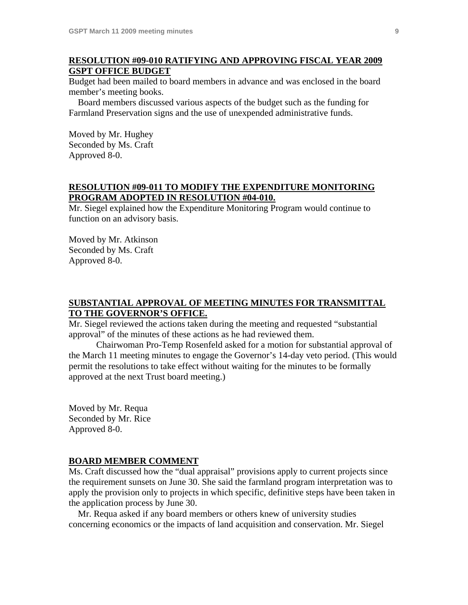### **RESOLUTION #09-010 RATIFYING AND APPROVING FISCAL YEAR 2009 GSPT OFFICE BUDGET**

Budget had been mailed to board members in advance and was enclosed in the board member's meeting books.

 Board members discussed various aspects of the budget such as the funding for Farmland Preservation signs and the use of unexpended administrative funds.

Moved by Mr. Hughey Seconded by Ms. Craft Approved 8-0.

# **RESOLUTION #09-011 TO MODIFY THE EXPENDITURE MONITORING PROGRAM ADOPTED IN RESOLUTION #04-010.**

Mr. Siegel explained how the Expenditure Monitoring Program would continue to function on an advisory basis.

Moved by Mr. Atkinson Seconded by Ms. Craft Approved 8-0.

#### **SUBSTANTIAL APPROVAL OF MEETING MINUTES FOR TRANSMITTAL TO THE GOVERNOR'S OFFICE.**

Mr. Siegel reviewed the actions taken during the meeting and requested "substantial approval" of the minutes of these actions as he had reviewed them.

Chairwoman Pro-Temp Rosenfeld asked for a motion for substantial approval of the March 11 meeting minutes to engage the Governor's 14-day veto period. (This would permit the resolutions to take effect without waiting for the minutes to be formally approved at the next Trust board meeting.)

Moved by Mr. Requa Seconded by Mr. Rice Approved 8-0.

#### **BOARD MEMBER COMMENT**

Ms. Craft discussed how the "dual appraisal" provisions apply to current projects since the requirement sunsets on June 30. She said the farmland program interpretation was to apply the provision only to projects in which specific, definitive steps have been taken in the application process by June 30.

 Mr. Requa asked if any board members or others knew of university studies concerning economics or the impacts of land acquisition and conservation. Mr. Siegel